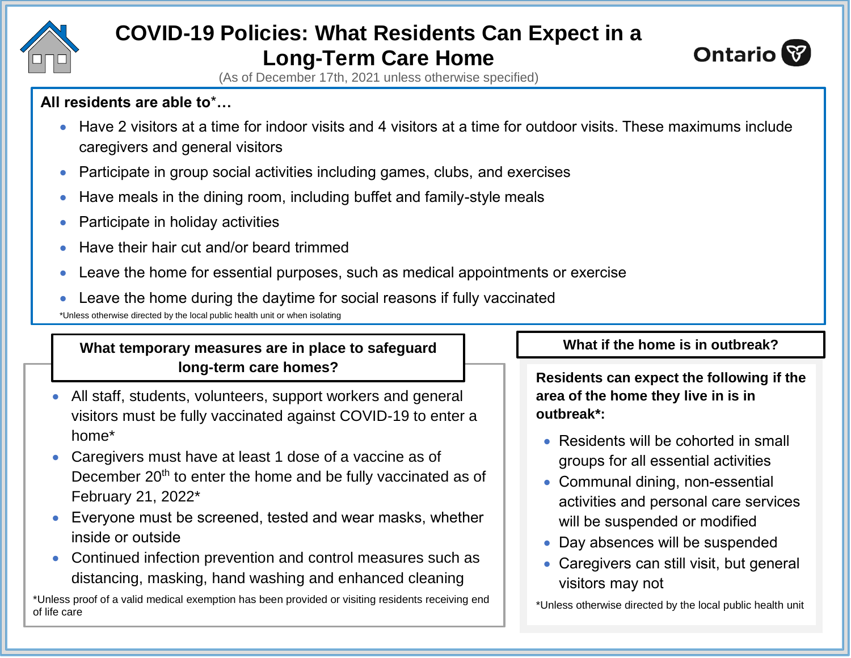

# **COVID-19 Policies: What Residents Can Expect in a Long-Term Care Home**



(As of December 17th, 2021 unless otherwise specified)

### **All residents are able to**\***…**

- Have 2 visitors at a time for indoor visits and 4 visitors at a time for outdoor visits. These maximums include caregivers and general visitors
- Participate in group social activities including games, clubs, and exercises
- Have meals in the dining room, including buffet and family-style meals
- Participate in holiday activities
- Have their hair cut and/or beard trimmed
- Leave the home for essential purposes, such as medical appointments or exercise
- Leave the home during the daytime for social reasons if fully vaccinated

\*Unless otherwise directed by the local public health unit or when isolating

## What temporary measures are in place to safeguard **All inclusive What if the home is in outbreak? long-term care homes?**

- All staff, students, volunteers, support workers and general visitors must be fully vaccinated against COVID-19 to enter a home\*
- Caregivers must have at least 1 dose of a vaccine as of December  $20<sup>th</sup>$  to enter the home and be fully vaccinated as of February 21, 2022\*
- Everyone must be screened, tested and wear masks, whether inside or outside
- Continued infection prevention and control measures such as distancing, masking, hand washing and enhanced cleaning

\*Unless proof of a valid medical exemption has been provided or visiting residents receiving end of life care

**Residents can expect the following if the area of the home they live in is in outbreak\*:**

- Residents will be cohorted in small groups for all essential activities
- Communal dining, non-essential activities and personal care services will be suspended or modified
- Day absences will be suspended
- Caregivers can still visit, but general visitors may not

\*Unless otherwise directed by the local public health unit